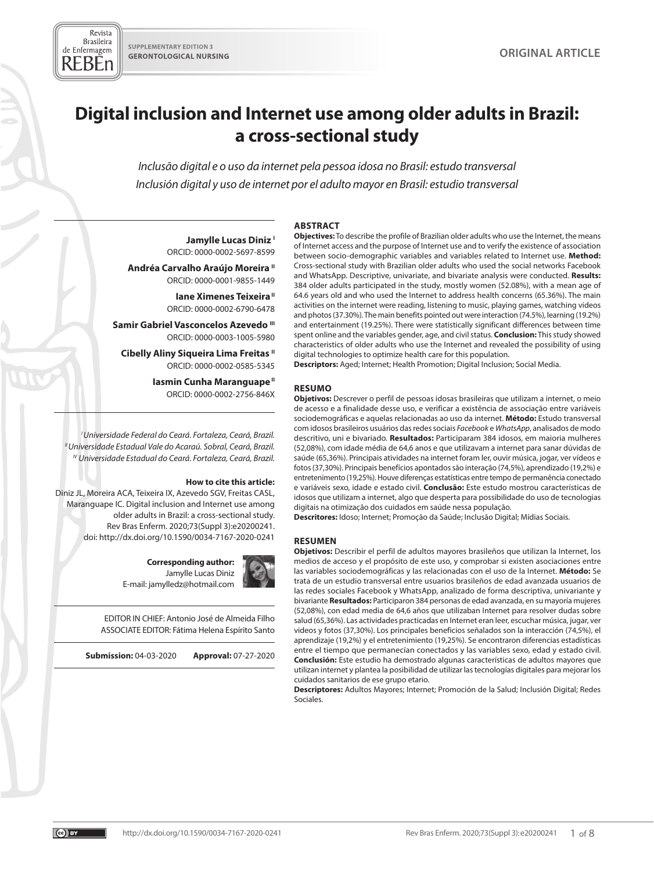Revista **Brasileira** 

# **Digital inclusion and Internet use among older adults in Brazil: a cross-sectional study**

*Inclusão digital e o uso da internet pela pessoa idosa no Brasil: estudo transversal Inclusión digital y uso de internet por el adulto mayor en Brasil: estudio transversal*

#### **ABSTRACT**

Jamylle Lucas Diniz<sup>1</sup> ORCID: 0000-0002-5697-8599

**Andréa Carvalho Araújo Moreira "** ORCID: 0000-0001-9855-1449

> **Iane Ximenes Teixeira** " ORCID: 0000-0002-6790-6478

Samir Gabriel Vasconcelos Azevedo <sup>III</sup> ORCID: 0000-0003-1005-5980

**Cibelly Aliny Siqueira Lima Freitas "** ORCID: 0000-0002-0585-5345

> **Iasmin Cunha Maranguape**" ORCID: 0000-0002-2756-846X

*I Universidade Federal do Ceará. Fortaleza, Ceará, Brazil. II Universidade Estadual Vale do Acaraú. Sobral, Ceará, Brazil. IV Universidade Estadual do Ceará. Fortaleza, Ceará, Brazil.*

#### **How to cite this article:**

Diniz JL, Moreira ACA, Teixeira IX, Azevedo SGV, Freitas CASL, Maranguape IC. Digital inclusion and Internet use among older adults in Brazil: a cross-sectional study. Rev Bras Enferm. 2020;73(Suppl 3):e20200241. doi: http://dx.doi.org/10.1590/0034-7167-2020-0241

> **Corresponding author:**  Jamylle Lucas Diniz E-mail: jamylledz@hotmail.com

EDITOR IN CHIEF: Antonio José de Almeida Filho ASSOCIATE EDITOR: Fátima Helena Espírito Santo

**Submission:** 04-03-2020 **Approval:** 07-27-2020

**RESUMEN**

**Objetivos:** Describir el perfil de adultos mayores brasileños que utilizan la Internet, los medios de acceso y el propósito de este uso, y comprobar si existen asociaciones entre las variables sociodemográficas y las relacionadas con el uso de la Internet. **Método:** Se trata de un estudio transversal entre usuarios brasileños de edad avanzada usuarios de las redes sociales Facebook y WhatsApp, analizado de forma descriptiva, univariante y bivariante **Resultados:** Participaron 384 personas de edad avanzada, en su mayoría mujeres (52,08%), con edad media de 64,6 años que utilizaban Internet para resolver dudas sobre salud (65,36%). Las actividades practicadas en Internet eran leer, escuchar música, jugar, ver videos y fotos (37,30%). Los principales beneficios señalados son la interacción (74,5%), el aprendizaje (19,2%) y el entretenimiento (19,25%). Se encontraron diferencias estadísticas entre el tiempo que permanecían conectados y las variables sexo, edad y estado civil. **Conclusión:** Este estudio ha demostrado algunas características de adultos mayores que utilizan internet y plantea la posibilidad de utilizar las tecnologías digitales para mejorar los cuidados sanitarios de ese grupo etario.

**Descriptores:** Adultos Mayores; Internet; Promoción de la Salud; Inclusión Digital; Redes Sociales.

**Objectives:** To describe the profile of Brazilian older adults who use the Internet, the means of Internet access and the purpose of Internet use and to verify the existence of association between socio-demographic variables and variables related to Internet use. **Method:** Cross-sectional study with Brazilian older adults who used the social networks Facebook and WhatsApp. Descriptive, univariate, and bivariate analysis were conducted. **Results:** 384 older adults participated in the study, mostly women (52.08%), with a mean age of 64.6 years old and who used the Internet to address health concerns (65.36%). The main activities on the internet were reading, listening to music, playing games, watching videos and photos (37.30%). The main benefits pointed out were interaction (74.5%), learning (19.2%) and entertainment (19.25%). There were statistically significant differences between time spent online and the variables gender, age, and civil status. **Conclusion:** This study showed characteristics of older adults who use the Internet and revealed the possibility of using digital technologies to optimize health care for this population.

**Descriptors:** Aged; Internet; Health Promotion; Digital Inclusion; Social Media.

#### **RESUMO**

**Objetivos:** Descrever o perfil de pessoas idosas brasileiras que utilizam a internet, o meio de acesso e a finalidade desse uso, e verificar a existência de associação entre variáveis sociodemográficas e aquelas relacionadas ao uso da internet. **Método:** Estudo transversal com idosos brasileiros usuários das redes sociais *Facebook* e *WhatsApp*, analisados de modo descritivo, uni e bivariado. **Resultados:** Participaram 384 idosos, em maioria mulheres (52,08%), com idade média de 64,6 anos e que utilizavam a internet para sanar dúvidas de saúde (65,36%). Principais atividades na internet foram ler, ouvir música, jogar, ver vídeos e fotos (37,30%). Principais benefícios apontados são interação (74,5%), aprendizado (19,2%) e entretenimento (19,25%). Houve diferenças estatísticas entre tempo de permanência conectado e variáveis sexo, idade e estado civil. **Conclusão:** Este estudo mostrou características de idosos que utilizam a internet, algo que desperta para possibilidade do uso de tecnologias digitais na otimização dos cuidados em saúde nessa população.

**Descritores:** Idoso; Internet; Promoção da Saúde; Inclusão Digital; Mídias Sociais.

 $\overline{(\omega)}$  BY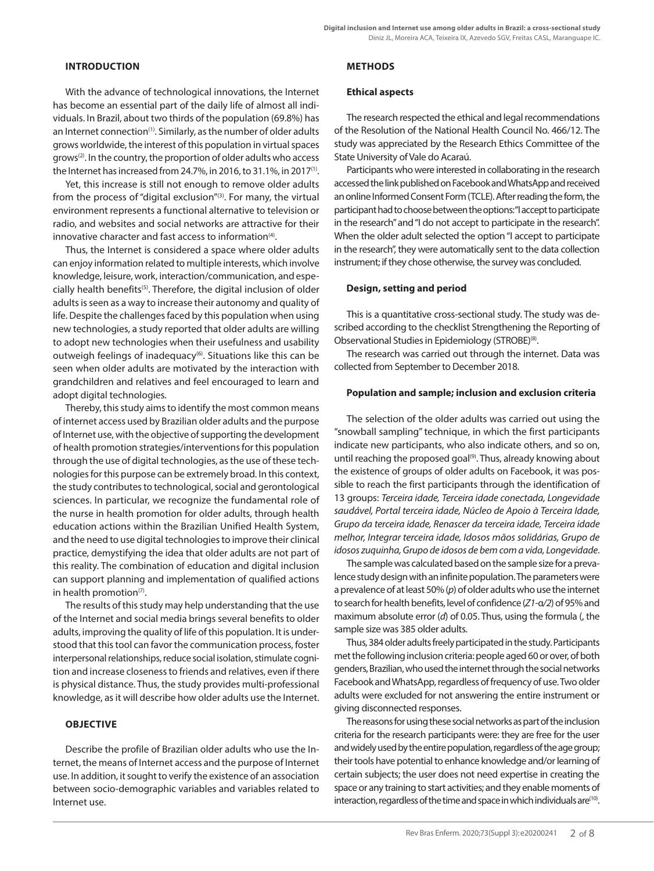## **INTRODUCTION**

With the advance of technological innovations, the Internet has become an essential part of the daily life of almost all individuals. In Brazil, about two thirds of the population (69.8%) has an Internet connection<sup>(1)</sup>. Similarly, as the number of older adults grows worldwide, the interest of this population in virtual spaces grows(2). In the country, the proportion of older adults who access the Internet has increased from 24.7%, in 2016, to 31.1%, in 2017(1).

Yet, this increase is still not enough to remove older adults from the process of "digital exclusion"<sup>(3)</sup>. For many, the virtual environment represents a functional alternative to television or radio, and websites and social networks are attractive for their innovative character and fast access to information $(4)$ .

Thus, the Internet is considered a space where older adults can enjoy information related to multiple interests, which involve knowledge, leisure, work, interaction/communication, and especially health benefits<sup>(5)</sup>. Therefore, the digital inclusion of older adults is seen as a way to increase their autonomy and quality of life. Despite the challenges faced by this population when using new technologies, a study reported that older adults are willing to adopt new technologies when their usefulness and usability outweigh feelings of inadequacy<sup>(6)</sup>. Situations like this can be seen when older adults are motivated by the interaction with grandchildren and relatives and feel encouraged to learn and adopt digital technologies.

Thereby, this study aims to identify the most common means of internet access used by Brazilian older adults and the purpose of Internet use, with the objective of supporting the development of health promotion strategies/interventions for this population through the use of digital technologies, as the use of these technologies for this purpose can be extremely broad. In this context, the study contributes to technological, social and gerontological sciences. In particular, we recognize the fundamental role of the nurse in health promotion for older adults, through health education actions within the Brazilian Unified Health System, and the need to use digital technologies to improve their clinical practice, demystifying the idea that older adults are not part of this reality. The combination of education and digital inclusion can support planning and implementation of qualified actions in health promotion $(7)$ .

The results of this study may help understanding that the use of the Internet and social media brings several benefits to older adults, improving the quality of life of this population. It is understood that this tool can favor the communication process, foster interpersonal relationships, reduce social isolation, stimulate cognition and increase closeness to friends and relatives, even if there is physical distance. Thus, the study provides multi-professional knowledge, as it will describe how older adults use the Internet.

# **OBJECTIVE**

Describe the profile of Brazilian older adults who use the Internet, the means of Internet access and the purpose of Internet use. In addition, it sought to verify the existence of an association between socio-demographic variables and variables related to Internet use.

# **METHODS**

#### **Ethical aspects**

The research respected the ethical and legal recommendations of the Resolution of the National Health Council No. 466/12. The study was appreciated by the Research Ethics Committee of the State University of Vale do Acaraú.

Participants who were interested in collaborating in the research accessed the link published on Facebook and WhatsApp and received an online Informed Consent Form (TCLE). After reading the form, the participant had to choose between the options: "I accept to participate in the research" and "I do not accept to participate in the research". When the older adult selected the option "I accept to participate in the research", they were automatically sent to the data collection instrument; if they chose otherwise, the survey was concluded.

### **Design, setting and period**

This is a quantitative cross-sectional study. The study was described according to the checklist Strengthening the Reporting of Observational Studies in Epidemiology (STROBE)<sup>(8)</sup>.

The research was carried out through the internet. Data was collected from September to December 2018.

### **Population and sample; inclusion and exclusion criteria**

The selection of the older adults was carried out using the "snowball sampling" technique, in which the first participants indicate new participants, who also indicate others, and so on, until reaching the proposed goal<sup>(9)</sup>. Thus, already knowing about the existence of groups of older adults on Facebook, it was possible to reach the first participants through the identification of 13 groups: *Terceira idade, Terceira idade conectada, Longevidade saudável, Portal terceira idade, Núcleo de Apoio à Terceira Idade, Grupo da terceira idade, Renascer da terceira idade, Terceira idade melhor, Integrar terceira idade, Idosos mãos solidárias, Grupo de idosos zuquinha, Grupo de idosos de bem com a vida, Longevidade*.

The sample was calculated based on the sample size for a prevalence study design with an infinite population. The parameters were a prevalence of at least 50% (*p*) of older adults who use the internet to search for health benefits, level of confidence (*Z1-*α*/2*) of 95% and maximum absolute error (*d*) of 0.05. Thus, using the formula (, the sample size was 385 older adults.

Thus, 384 older adults freely participated in the study. Participants met the following inclusion criteria: people aged 60 or over, of both genders, Brazilian, who used the internet through the social networks Facebook and WhatsApp, regardless of frequency of use. Two older adults were excluded for not answering the entire instrument or giving disconnected responses.

The reasons for using these social networks as part of the inclusion criteria for the research participants were: they are free for the user and widely used by the entire population, regardless of the age group; their tools have potential to enhance knowledge and/or learning of certain subjects; the user does not need expertise in creating the space or any training to start activities; and they enable moments of interaction, regardless of the time and space in which individuals are<sup>(10)</sup>.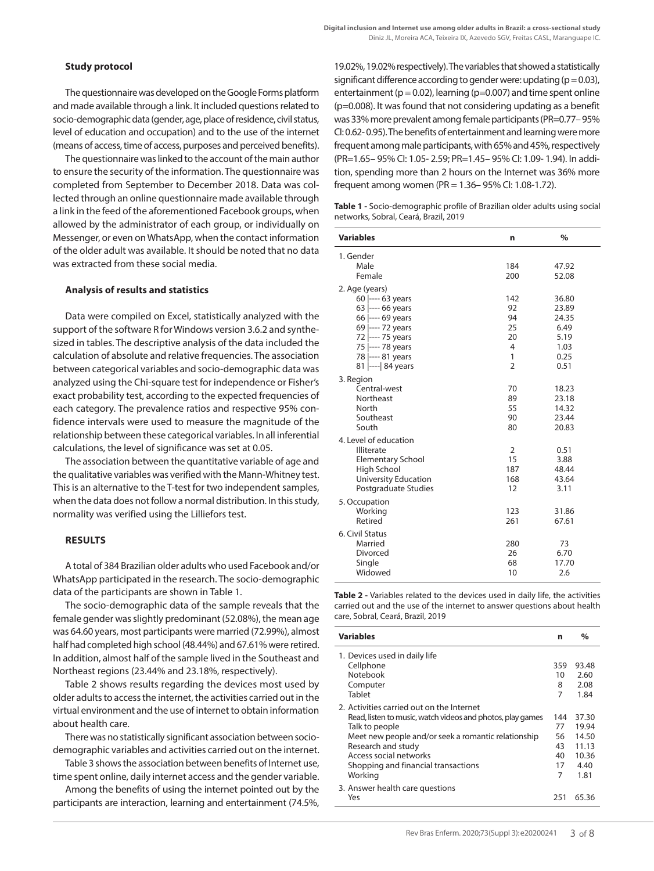# **Study protocol**

The questionnaire was developed on the Google Forms platform and made available through a link. It included questions related to socio-demographic data (gender, age, place of residence, civil status, level of education and occupation) and to the use of the internet (means of access, time of access, purposes and perceived benefits).

The questionnaire was linked to the account of the main author to ensure the security of the information. The questionnaire was completed from September to December 2018. Data was collected through an online questionnaire made available through a link in the feed of the aforementioned Facebook groups, when allowed by the administrator of each group, or individually on Messenger, or even on WhatsApp, when the contact information of the older adult was available. It should be noted that no data was extracted from these social media.

#### **Analysis of results and statistics**

Data were compiled on Excel, statistically analyzed with the support of the software R for Windows version 3.6.2 and synthesized in tables. The descriptive analysis of the data included the calculation of absolute and relative frequencies. The association between categorical variables and socio-demographic data was analyzed using the Chi-square test for independence or Fisher's exact probability test, according to the expected frequencies of each category. The prevalence ratios and respective 95% confidence intervals were used to measure the magnitude of the relationship between these categorical variables. In all inferential calculations, the level of significance was set at 0.05.

The association between the quantitative variable of age and the qualitative variables was verified with the Mann-Whitney test. This is an alternative to the T-test for two independent samples, when the data does not follow a normal distribution. In this study, normality was verified using the Lilliefors test.

### **RESULTS**

A total of 384 Brazilian older adults who used Facebook and/or WhatsApp participated in the research. The socio-demographic data of the participants are shown in Table 1.

The socio-demographic data of the sample reveals that the female gender was slightly predominant (52.08%), the mean age was 64.60 years, most participants were married (72.99%), almost half had completed high school (48.44%) and 67.61% were retired. In addition, almost half of the sample lived in the Southeast and Northeast regions (23.44% and 23.18%, respectively).

Table 2 shows results regarding the devices most used by older adults to access the internet, the activities carried out in the virtual environment and the use of internet to obtain information about health care.

There was no statistically significant association between sociodemographic variables and activities carried out on the internet.

Table 3 shows the association between benefits of Internet use, time spent online, daily internet access and the gender variable.

Among the benefits of using the internet pointed out by the participants are interaction, learning and entertainment (74.5%,

19.02%, 19.02% respectively). The variables that showed a statistically significant difference according to gender were: updating  $(p = 0.03)$ , entertainment ( $p = 0.02$ ), learning ( $p = 0.007$ ) and time spent online (p=0.008). It was found that not considering updating as a benefit was 33% more prevalent among female participants (PR=0.77– 95% CI: 0.62- 0.95). The benefits of entertainment and learning were more frequent among male participants, with 65% and 45%, respectively (PR=1.65– 95% CI: 1.05- 2.59; PR=1.45– 95% CI: 1.09- 1.94). In addition, spending more than 2 hours on the Internet was 36% more frequent among women (PR = 1.36– 95% CI: 1.08-1.72).

| <b>Table 1</b> - Socio-demographic profile of Brazilian older adults using social |  |
|-----------------------------------------------------------------------------------|--|
| networks, Sobral, Ceará, Brazil, 2019                                             |  |

| <b>Variables</b>         | n              | $\frac{0}{0}$ |
|--------------------------|----------------|---------------|
| 1. Gender                |                |               |
| Male                     | 184            | 47.92         |
| Female                   | 200            | 52.08         |
| 2. Age (years)           |                |               |
| 60 ---- 63 years         | 142            | 36.80         |
| 63 ---- 66 years         | 92             | 23.89         |
| 66 ---- 69 years         | 94             | 24.35         |
| 69 ---- 72 years         | 25             | 6.49          |
| 72 ---- 75 years         | 20             | 5.19          |
| 75 ---- 78 years         | 4              | 1.03          |
| 78 ---- 81 years         | 1              | 0.25          |
| 81 ---- 84 years         | $\overline{2}$ | 0.51          |
| 3. Region                |                |               |
| Central-west             | 70             | 18.23         |
| Northeast                | 89             | 23.18         |
| North                    | 55             | 14.32         |
| Southeast                | 90             | 23.44         |
| South                    | 80             | 20.83         |
| 4. Level of education    |                |               |
| Illiterate               | $\overline{2}$ | 0.51          |
| <b>Elementary School</b> | 15             | 3.88          |
| High School              | 187            | 48.44         |
| University Education     | 168            | 43.64         |
| Postgraduate Studies     | 12             | 3.11          |
| 5. Occupation            |                |               |
| Working                  | 123            | 31.86         |
| Retired                  | 261            | 67.61         |
| 6. Civil Status          |                |               |
| Married                  | 280            | 73            |
| Divorced                 | 26             | 6.70          |
| Single                   | 68             | 17.70         |
| Widowed                  | 10             | 2.6           |

**Table 2 -** Variables related to the devices used in daily life, the activities carried out and the use of the internet to answer questions about health care, Sobral, Ceará, Brazil, 2019

| <b>Variables</b>                                           | n   | $\%$  |
|------------------------------------------------------------|-----|-------|
| 1. Devices used in daily life                              |     |       |
| Cellphone                                                  | 359 | 93.48 |
| Notebook                                                   | 10  | 2.60  |
| Computer                                                   | 8   | 2.08  |
| Tablet                                                     | 7   | 1.84  |
| 2. Activities carried out on the Internet                  |     |       |
| Read, listen to music, watch videos and photos, play games | 144 | 37.30 |
| Talk to people                                             | 77  | 19.94 |
| Meet new people and/or seek a romantic relationship        | 56  | 14.50 |
| Research and study                                         | 43  | 11.13 |
| Access social networks                                     | 40  | 10.36 |
| Shopping and financial transactions                        | 17  | 4.40  |
| Working                                                    | 7   | 1.81  |
| 3. Answer health care questions                            |     |       |
| Yes                                                        | 251 | 65.36 |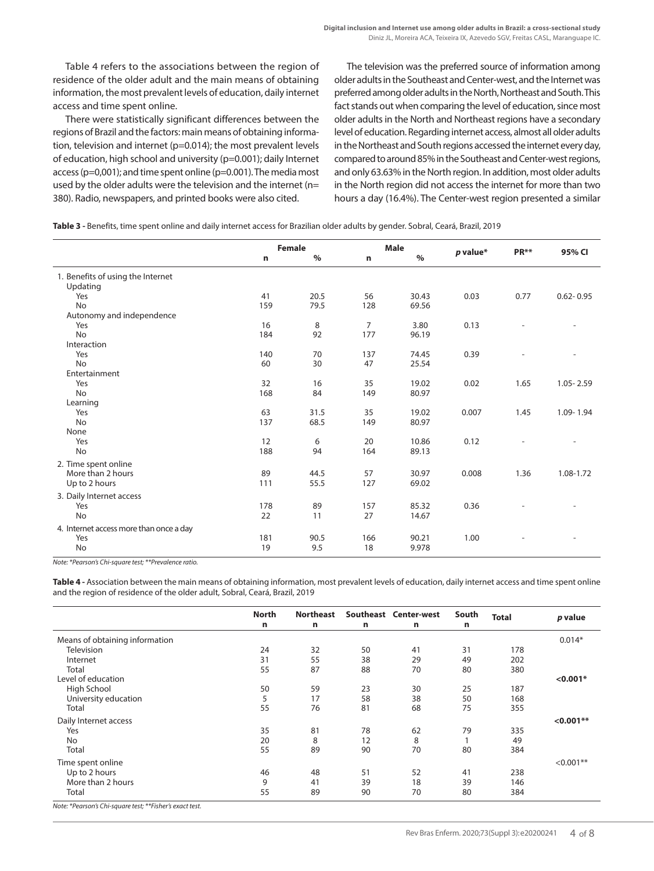Table 4 refers to the associations between the region of residence of the older adult and the main means of obtaining information, the most prevalent levels of education, daily internet access and time spent online.

There were statistically significant differences between the regions of Brazil and the factors: main means of obtaining information, television and internet (p=0.014); the most prevalent levels of education, high school and university (p=0.001); daily Internet access (p=0,001); and time spent online (p=0.001). The media most used by the older adults were the television and the internet (n= 380). Radio, newspapers, and printed books were also cited.

The television was the preferred source of information among older adults in the Southeast and Center-west, and the Internet was preferred among older adults in the North, Northeast and South. This fact stands out when comparing the level of education, since most older adults in the North and Northeast regions have a secondary level of education. Regarding internet access, almost all older adults in the Northeast and South regions accessed the internet every day, compared to around 85% in the Southeast and Center-west regions, and only 63.63% in the North region. In addition, most older adults in the North region did not access the internet for more than two hours a day (16.4%). The Center-west region presented a similar

**Table 3 -** Benefits, time spent online and daily internet access for Brazilian older adults by gender. Sobral, Ceará, Brazil, 2019

|                                           | <b>Female</b> |               | Male           |       |            | PR** | 95% CI        |
|-------------------------------------------|---------------|---------------|----------------|-------|------------|------|---------------|
|                                           | n             | $\frac{0}{0}$ | n              | $\%$  | $p$ value* |      |               |
| 1. Benefits of using the Internet         |               |               |                |       |            |      |               |
| Updating<br>Yes                           | 41            | 20.5          | 56             | 30.43 | 0.03       | 0.77 | $0.62 - 0.95$ |
| <b>No</b>                                 | 159           | 79.5          | 128            | 69.56 |            |      |               |
| Autonomy and independence                 |               |               |                |       |            |      |               |
| Yes                                       | 16            | 8             | $\overline{7}$ | 3.80  | 0.13       |      |               |
| <b>No</b>                                 | 184           | 92            | 177            | 96.19 |            |      |               |
| Interaction                               |               |               |                |       |            |      |               |
| Yes                                       | 140           | 70            | 137            | 74.45 | 0.39       |      |               |
| No                                        | 60            | 30            | 47             | 25.54 |            |      |               |
| Entertainment                             |               |               |                |       |            |      |               |
| Yes                                       | 32            | 16            | 35             | 19.02 | 0.02       | 1.65 | $1.05 - 2.59$ |
| <b>No</b>                                 | 168           | 84            | 149            | 80.97 |            |      |               |
| Learning                                  |               |               |                |       |            |      |               |
| Yes                                       | 63            | 31.5          | 35             | 19.02 | 0.007      | 1.45 | 1.09-1.94     |
| <b>No</b>                                 | 137           | 68.5          | 149            | 80.97 |            |      |               |
| None                                      |               |               |                |       |            |      |               |
| Yes                                       | 12            | 6             | 20             | 10.86 | 0.12       |      |               |
| <b>No</b>                                 | 188           | 94            | 164            | 89.13 |            |      |               |
|                                           |               |               |                |       |            |      |               |
| 2. Time spent online<br>More than 2 hours | 89            | 44.5          | 57             | 30.97 | 0.008      | 1.36 | 1.08-1.72     |
| Up to 2 hours                             | 111           | 55.5          | 127            | 69.02 |            |      |               |
|                                           |               |               |                |       |            |      |               |
| 3. Daily Internet access                  |               |               |                |       |            |      |               |
| Yes                                       | 178           | 89            | 157            | 85.32 | 0.36       |      |               |
| <b>No</b>                                 | 22            | 11            | 27             | 14.67 |            |      |               |
| 4. Internet access more than once a day   |               |               |                |       |            |      |               |
| Yes                                       | 181           | 90.5          | 166            | 90.21 | 1.00       |      |               |
| No                                        | 19            | 9.5           | 18             | 9.978 |            |      |               |
|                                           |               |               |                |       |            |      |               |

*Note: \*Pearson's Chi-square test; \*\*Prevalence ratio.*

**Table 4 -** Association between the main means of obtaining information, most prevalent levels of education, daily internet access and time spent online and the region of residence of the older adult, Sobral, Ceará, Brazil, 2019

|                                | <b>North</b> | <b>Northeast</b> |    | Southeast Center-west | South | <b>Total</b> | p value     |
|--------------------------------|--------------|------------------|----|-----------------------|-------|--------------|-------------|
|                                | n            | n                | n  | n                     | n     |              |             |
| Means of obtaining information |              |                  |    |                       |       |              | $0.014*$    |
| <b>Television</b>              | 24           | 32               | 50 | 41                    | 31    | 178          |             |
| Internet                       | 31           | 55               | 38 | 29                    | 49    | 202          |             |
| Total                          | 55           | 87               | 88 | 70                    | 80    | 380          |             |
| Level of education             |              |                  |    |                       |       |              | $< 0.001*$  |
| High School                    | 50           | 59               | 23 | 30                    | 25    | 187          |             |
| University education           | 5            | 17               | 58 | 38                    | 50    | 168          |             |
| Total                          | 55           | 76               | 81 | 68                    | 75    | 355          |             |
| Daily Internet access          |              |                  |    |                       |       |              | $< 0.001**$ |
| Yes                            | 35           | 81               | 78 | 62                    | 79    | 335          |             |
| No                             | 20           | 8                | 12 | 8                     |       | 49           |             |
| Total                          | 55           | 89               | 90 | 70                    | 80    | 384          |             |
| Time spent online              |              |                  |    |                       |       |              | $< 0.001**$ |
| Up to 2 hours                  | 46           | 48               | 51 | 52                    | 41    | 238          |             |
| More than 2 hours              | 9            | 41               | 39 | 18                    | 39    | 146          |             |
| Total                          | 55           | 89               | 90 | 70                    | 80    | 384          |             |

*Note: \*Pearson's Chi-square test; \*\*Fisher's exact test.*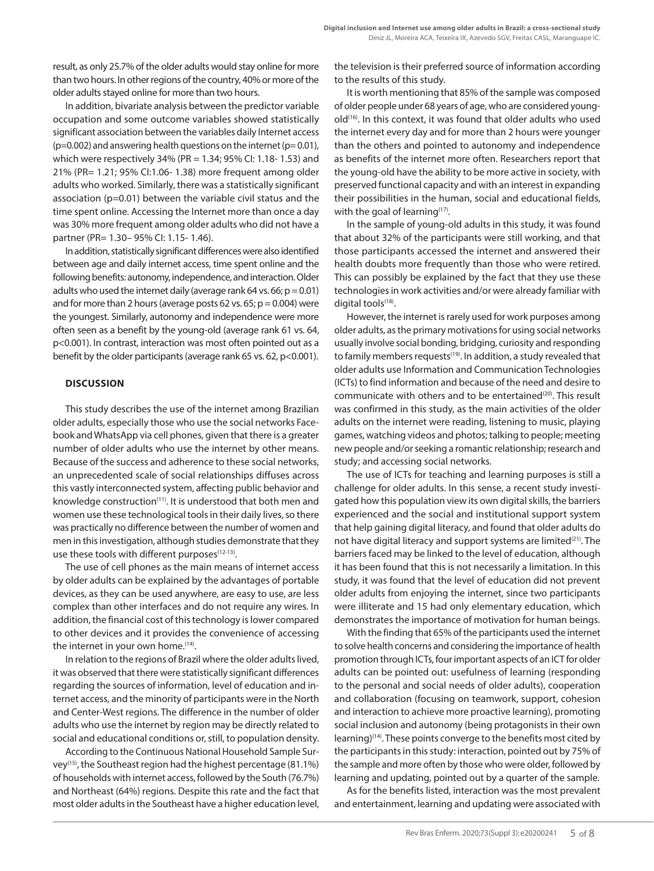result, as only 25.7% of the older adults would stay online for more than two hours. In other regions of the country, 40% or more of the older adults stayed online for more than two hours.

In addition, bivariate analysis between the predictor variable occupation and some outcome variables showed statistically significant association between the variables daily Internet access  $(p=0.002)$  and answering health questions on the internet  $(p= 0.01)$ , which were respectively 34% (PR = 1.34; 95% CI: 1.18- 1.53) and 21% (PR= 1.21; 95% CI:1.06- 1.38) more frequent among older adults who worked. Similarly, there was a statistically significant association (p=0.01) between the variable civil status and the time spent online. Accessing the Internet more than once a day was 30% more frequent among older adults who did not have a partner (PR= 1.30– 95% CI: 1.15- 1.46).

In addition, statistically significant differences were also identified between age and daily internet access, time spent online and the following benefits: autonomy, independence, and interaction. Older adults who used the internet daily (average rank 64 vs. 66;  $p = 0.01$ ) and for more than 2 hours (average posts 62 vs. 65;  $p = 0.004$ ) were the youngest. Similarly, autonomy and independence were more often seen as a benefit by the young-old (average rank 61 vs. 64, p<0.001). In contrast, interaction was most often pointed out as a benefit by the older participants (average rank 65 vs. 62, p<0.001).

### **DISCUSSION**

This study describes the use of the internet among Brazilian older adults, especially those who use the social networks Facebook and WhatsApp via cell phones, given that there is a greater number of older adults who use the internet by other means. Because of the success and adherence to these social networks, an unprecedented scale of social relationships diffuses across this vastly interconnected system, affecting public behavior and knowledge construction<sup>(11)</sup>. It is understood that both men and women use these technological tools in their daily lives, so there was practically no difference between the number of women and men in this investigation, although studies demonstrate that they use these tools with different purposes<sup>(12-13)</sup>.

The use of cell phones as the main means of internet access by older adults can be explained by the advantages of portable devices, as they can be used anywhere, are easy to use, are less complex than other interfaces and do not require any wires. In addition, the financial cost of this technology is lower compared to other devices and it provides the convenience of accessing the internet in your own home.(14).

In relation to the regions of Brazil where the older adults lived, it was observed that there were statistically significant differences regarding the sources of information, level of education and internet access, and the minority of participants were in the North and Center-West regions. The difference in the number of older adults who use the internet by region may be directly related to social and educational conditions or, still, to population density.

According to the Continuous National Household Sample Survey(15), the Southeast region had the highest percentage (81.1%) of households with internet access, followed by the South (76.7%) and Northeast (64%) regions. Despite this rate and the fact that most older adults in the Southeast have a higher education level, the television is their preferred source of information according to the results of this study.

It is worth mentioning that 85% of the sample was composed of older people under 68 years of age, who are considered youngold<sup>(16)</sup>. In this context, it was found that older adults who used the internet every day and for more than 2 hours were younger than the others and pointed to autonomy and independence as benefits of the internet more often. Researchers report that the young-old have the ability to be more active in society, with preserved functional capacity and with an interest in expanding their possibilities in the human, social and educational fields, with the goal of learning $(17)$ .

In the sample of young-old adults in this study, it was found that about 32% of the participants were still working, and that those participants accessed the internet and answered their health doubts more frequently than those who were retired. This can possibly be explained by the fact that they use these technologies in work activities and/or were already familiar with digital tools<sup>(18)</sup>.

However, the internet is rarely used for work purposes among older adults, as the primary motivations for using social networks usually involve social bonding, bridging, curiosity and responding to family members requests<sup>(19)</sup>. In addition, a study revealed that older adults use Information and Communication Technologies (ICTs) to find information and because of the need and desire to communicate with others and to be entertained<sup>(20)</sup>. This result was confirmed in this study, as the main activities of the older adults on the internet were reading, listening to music, playing games, watching videos and photos; talking to people; meeting new people and/or seeking a romantic relationship; research and study; and accessing social networks.

The use of ICTs for teaching and learning purposes is still a challenge for older adults. In this sense, a recent study investigated how this population view its own digital skills, the barriers experienced and the social and institutional support system that help gaining digital literacy, and found that older adults do not have digital literacy and support systems are limited<sup>(21)</sup>. The barriers faced may be linked to the level of education, although it has been found that this is not necessarily a limitation. In this study, it was found that the level of education did not prevent older adults from enjoying the internet, since two participants were illiterate and 15 had only elementary education, which demonstrates the importance of motivation for human beings.

With the finding that 65% of the participants used the internet to solve health concerns and considering the importance of health promotion through ICTs, four important aspects of an ICT for older adults can be pointed out: usefulness of learning (responding to the personal and social needs of older adults), cooperation and collaboration (focusing on teamwork, support, cohesion and interaction to achieve more proactive learning), promoting social inclusion and autonomy (being protagonists in their own learning)<sup>(14)</sup>. These points converge to the benefits most cited by the participants in this study: interaction, pointed out by 75% of the sample and more often by those who were older, followed by learning and updating, pointed out by a quarter of the sample.

As for the benefits listed, interaction was the most prevalent and entertainment, learning and updating were associated with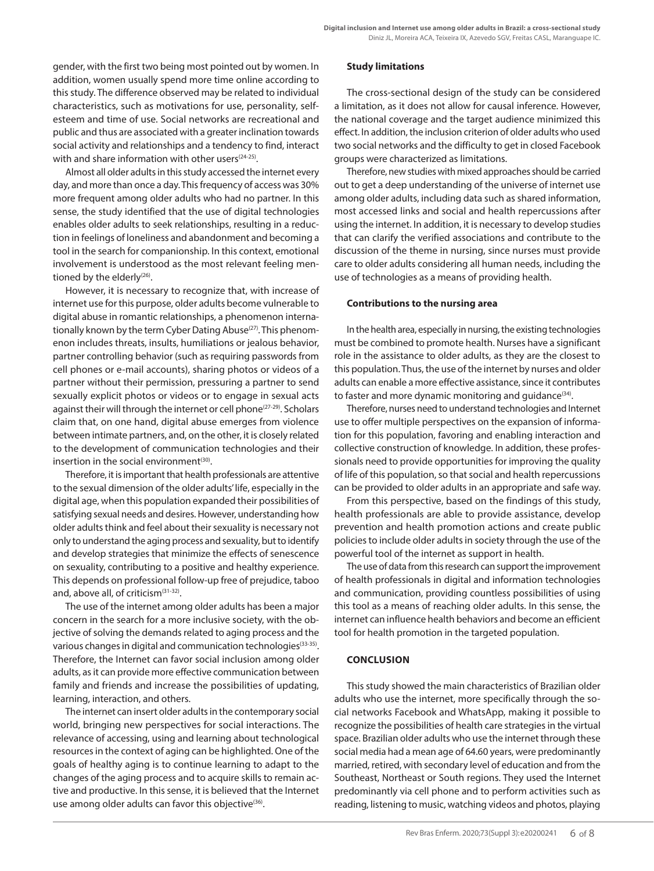gender, with the first two being most pointed out by women. In addition, women usually spend more time online according to this study. The difference observed may be related to individual characteristics, such as motivations for use, personality, selfesteem and time of use. Social networks are recreational and public and thus are associated with a greater inclination towards social activity and relationships and a tendency to find, interact with and share information with other users<sup>(24-25)</sup>.

Almost all older adults in this study accessed the internet every day, and more than once a day. This frequency of access was 30% more frequent among older adults who had no partner. In this sense, the study identified that the use of digital technologies enables older adults to seek relationships, resulting in a reduction in feelings of loneliness and abandonment and becoming a tool in the search for companionship. In this context, emotional involvement is understood as the most relevant feeling mentioned by the elderly<sup>(26)</sup>.

However, it is necessary to recognize that, with increase of internet use for this purpose, older adults become vulnerable to digital abuse in romantic relationships, a phenomenon internationally known by the term Cyber Dating Abuse<sup>(27)</sup>. This phenomenon includes threats, insults, humiliations or jealous behavior, partner controlling behavior (such as requiring passwords from cell phones or e-mail accounts), sharing photos or videos of a partner without their permission, pressuring a partner to send sexually explicit photos or videos or to engage in sexual acts against their will through the internet or cell phone<sup>(27-29)</sup>. Scholars claim that, on one hand, digital abuse emerges from violence between intimate partners, and, on the other, it is closely related to the development of communication technologies and their insertion in the social environment $(30)$ .

Therefore, it is important that health professionals are attentive to the sexual dimension of the older adults' life, especially in the digital age, when this population expanded their possibilities of satisfying sexual needs and desires. However, understanding how older adults think and feel about their sexuality is necessary not only to understand the aging process and sexuality, but to identify and develop strategies that minimize the effects of senescence on sexuality, contributing to a positive and healthy experience. This depends on professional follow-up free of prejudice, taboo and, above all, of criticism<sup>(31-32)</sup>.

The use of the internet among older adults has been a major concern in the search for a more inclusive society, with the objective of solving the demands related to aging process and the various changes in digital and communication technologies<sup>(33-35)</sup>. Therefore, the Internet can favor social inclusion among older adults, as it can provide more effective communication between family and friends and increase the possibilities of updating, learning, interaction, and others.

The internet can insert older adults in the contemporary social world, bringing new perspectives for social interactions. The relevance of accessing, using and learning about technological resources in the context of aging can be highlighted. One of the goals of healthy aging is to continue learning to adapt to the changes of the aging process and to acquire skills to remain active and productive. In this sense, it is believed that the Internet use among older adults can favor this objective $(36)$ .

### **Study limitations**

The cross-sectional design of the study can be considered a limitation, as it does not allow for causal inference. However, the national coverage and the target audience minimized this effect. In addition, the inclusion criterion of older adults who used two social networks and the difficulty to get in closed Facebook groups were characterized as limitations.

Therefore, new studies with mixed approaches should be carried out to get a deep understanding of the universe of internet use among older adults, including data such as shared information, most accessed links and social and health repercussions after using the internet. In addition, it is necessary to develop studies that can clarify the verified associations and contribute to the discussion of the theme in nursing, since nurses must provide care to older adults considering all human needs, including the use of technologies as a means of providing health.

#### **Contributions to the nursing area**

In the health area, especially in nursing, the existing technologies must be combined to promote health. Nurses have a significant role in the assistance to older adults, as they are the closest to this population. Thus, the use of the internet by nurses and older adults can enable a more effective assistance, since it contributes to faster and more dynamic monitoring and guidance<sup>(34)</sup>.

Therefore, nurses need to understand technologies and Internet use to offer multiple perspectives on the expansion of information for this population, favoring and enabling interaction and collective construction of knowledge. In addition, these professionals need to provide opportunities for improving the quality of life of this population, so that social and health repercussions can be provided to older adults in an appropriate and safe way.

From this perspective, based on the findings of this study, health professionals are able to provide assistance, develop prevention and health promotion actions and create public policies to include older adults in society through the use of the powerful tool of the internet as support in health.

The use of data from this research can support the improvement of health professionals in digital and information technologies and communication, providing countless possibilities of using this tool as a means of reaching older adults. In this sense, the internet can influence health behaviors and become an efficient tool for health promotion in the targeted population.

### **CONCLUSION**

This study showed the main characteristics of Brazilian older adults who use the internet, more specifically through the social networks Facebook and WhatsApp, making it possible to recognize the possibilities of health care strategies in the virtual space. Brazilian older adults who use the internet through these social media had a mean age of 64.60 years, were predominantly married, retired, with secondary level of education and from the Southeast, Northeast or South regions. They used the Internet predominantly via cell phone and to perform activities such as reading, listening to music, watching videos and photos, playing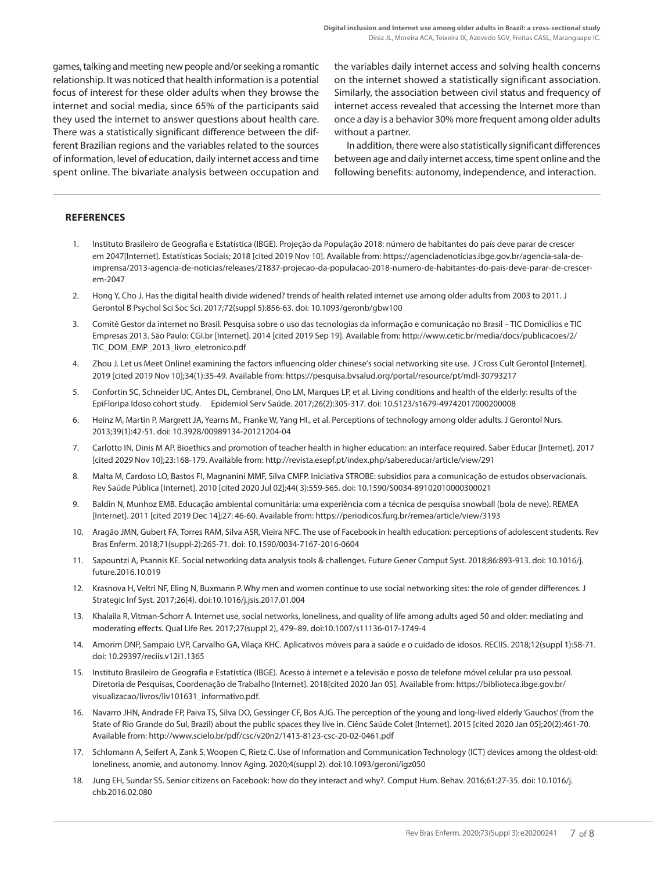games, talking and meeting new people and/or seeking a romantic relationship. It was noticed that health information is a potential focus of interest for these older adults when they browse the internet and social media, since 65% of the participants said they used the internet to answer questions about health care. There was a statistically significant difference between the different Brazilian regions and the variables related to the sources of information, level of education, daily internet access and time spent online. The bivariate analysis between occupation and the variables daily internet access and solving health concerns on the internet showed a statistically significant association. Similarly, the association between civil status and frequency of internet access revealed that accessing the Internet more than once a day is a behavior 30% more frequent among older adults without a partner.

In addition, there were also statistically significant differences between age and daily internet access, time spent online and the following benefits: autonomy, independence, and interaction.

### **REFERENCES**

- 1. Instituto Brasileiro de Geografia e Estatística (IBGE). Projeção da População 2018: número de habitantes do país deve parar de crescer em 2047[Internet]. Estatísticas Sociais; 2018 [cited 2019 Nov 10]. Available from: https://agenciadenoticias.ibge.gov.br/agencia-sala-deimprensa/2013-agencia-de-noticias/releases/21837-projecao-da-populacao-2018-numero-de-habitantes-do-pais-deve-parar-de-crescerem-2047
- 2. Hong Y, Cho J. Has the digital health divide widened? trends of health related internet use among older adults from 2003 to 2011. J Gerontol B Psychol Sci Soc Sci. 2017;72(suppl 5):856-63. doi: 10.1093/geronb/gbw100
- 3. Comitê Gestor da internet no Brasil. Pesquisa sobre o uso das tecnologias da informação e comunicação no Brasil TIC Domicílios e TIC Empresas 2013. São Paulo: CGI.br [Internet]. 2014 [cited 2019 Sep 19]. Available from: http://www.cetic.br/media/docs/publicacoes/2/ TIC\_DOM\_EMP\_2013\_livro\_eletronico.pdf
- 4. Zhou J. Let us Meet Online! examining the factors influencing older chinese's social networking site use. J Cross Cult Gerontol [Internet]. 2019 [cited 2019 Nov 10];34(1):35-49. Available from: https://pesquisa.bvsalud.org/portal/resource/pt/mdl-30793217
- 5. Confortin SC, Schneider IJC, Antes DL, Cembranel, Ono LM, Marques LP, et al. Living conditions and health of the elderly: results of the EpiFloripa Idoso cohort study. Epidemiol Serv Saúde. 2017;26(2):305-317. doi: 10.5123/s1679-49742017000200008
- 6. Heinz M, Martin P, Margrett JA, Yearns M., Franke W, Yang HI., et al. Perceptions of technology among older adults. J Gerontol Nurs. 2013;39(1):42-51. doi: 10.3928/00989134-20121204-04
- 7. Carlotto IN, Dinis M AP. Bioethics and promotion of teacher health in higher education: an interface required. Saber Educar [Internet]. 2017 [cited 2029 Nov 10];23:168-179. Available from: http://revista.esepf.pt/index.php/sabereducar/article/view/291
- 8. Malta M, Cardoso LO, Bastos FI, Magnanini MMF, Silva CMFP. Iniciativa STROBE: subsídios para a comunicação de estudos observacionais. Rev Saúde Pública [Internet]. 2010 [cited 2020 Jul 02];44( 3):559-565. doi: 10.1590/S0034-89102010000300021
- 9. Baldin N, Munhoz EMB. Educação ambiental comunitária: uma experiência com a técnica de pesquisa snowball (bola de neve). REMEA [Internet]. 2011 [cited 2019 Dec 14];27: 46-60. Available from: https://periodicos.furg.br/remea/article/view/3193
- 10. Aragão JMN, Gubert FA, Torres RAM, Silva ASR, Vieira NFC. The use of Facebook in health education: perceptions of adolescent students. Rev Bras Enferm. 2018;71(suppl-2):265-71. doi: 10.1590/0034-7167-2016-0604
- 11. Sapountzi A, Psannis KE. Social networking data analysis tools & challenges. Future Gener Comput Syst. 2018;86:893-913. doi: 10.1016/j. future.2016.10.019
- 12. Krasnova H, Veltri NF, Eling N, Buxmann P. Why men and women continue to use social networking sites: the role of gender differences. J Strategic Inf Syst. 2017;26(4). doi:10.1016/j.jsis.2017.01.004
- 13. Khalaila R, Vitman-Schorr A. Internet use, social networks, loneliness, and quality of life among adults aged 50 and older: mediating and moderating effects. Qual Life Res. 2017;27(suppl 2), 479–89. doi:10.1007/s11136-017-1749-4
- 14. Amorim DNP, Sampaio LVP, Carvalho GA, Vilaça KHC. Aplicativos móveis para a saúde e o cuidado de idosos. RECIIS. 2018;12(suppl 1):58-71. doi: 10.29397/reciis.v12i1.1365
- 15. Instituto Brasileiro de Geografia e Estatística (IBGE). Acesso à internet e a televisão e posso de telefone móvel celular pra uso pessoal. Diretoria de Pesquisas, Coordenação de Trabalho [Internet]. 2018[cited 2020 Jan 05]. Available from: https://biblioteca.ibge.gov.br/ visualizacao/livros/liv101631\_informativo.pdf.
- 16. Navarro JHN, Andrade FP, Paiva TS, Silva DO, Gessinger CF, Bos AJG. The perception of the young and long-lived elderly 'Gauchos' (from the State of Rio Grande do Sul, Brazil) about the public spaces they live in. Ciênc Saúde Colet [Internet]. 2015 [cited 2020 Jan 05];20(2):461-70. Available from: http://www.scielo.br/pdf/csc/v20n2/1413-8123-csc-20-02-0461.pdf
- 17. Schlomann A, Seifert A, Zank S, Woopen C, Rietz C. Use of Information and Communication Technology (ICT) devices among the oldest-old: loneliness, anomie, and autonomy. Innov Aging. 2020;4(suppl 2). doi:10.1093/geroni/igz050
- 18. Jung EH, Sundar SS. Senior citizens on Facebook: how do they interact and why?. Comput Hum. Behav. 2016;61:27-35. doi: 10.1016/j. chb.2016.02.080